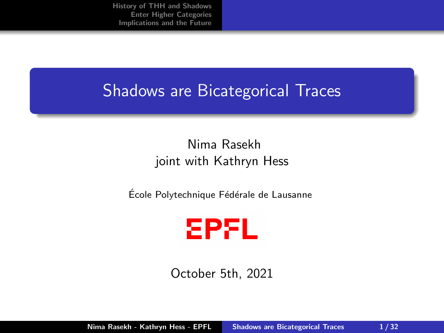## <span id="page-0-0"></span>Shadows are Bicategorical Traces

#### Nima Rasekh joint with Kathryn Hess

École Polytechnique Fédérale de Lausanne



October 5th, 2021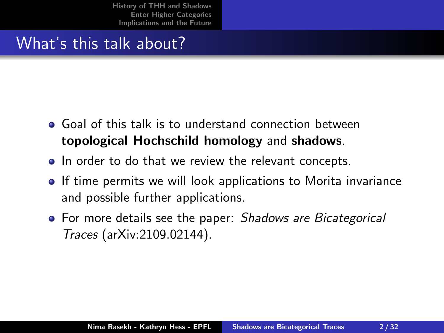# What's this talk about?

- Goal of this talk is to understand connection between topological Hochschild homology and shadows.
- In order to do that we review the relevant concepts.
- **If time permits we will look applications to Morita invariance** and possible further applications.
- For more details see the paper: Shadows are Bicategorical Traces (arXiv:2109.02144).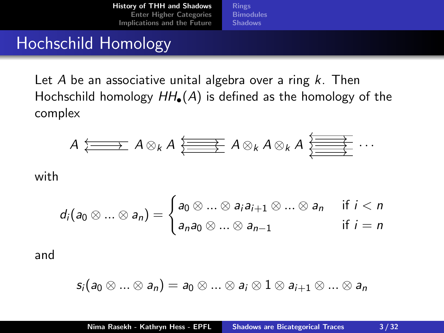**[Rings](#page-3-0) [Bimodules](#page-6-0)** [Shadows](#page-10-0)

### <span id="page-2-0"></span>Hochschild Homology

Let A be an associative unital algebra over a ring  $k$ . Then Hochschild homology  $HH_{\bullet}(A)$  is defined as the homology of the complex

$$
A \xleftarrow{\longleftarrow} A \otimes_k A \xleftarrow{\longleftarrow} A \otimes_k A \otimes_k A \xrightarrow{\longleftarrow{\longleftarrow}} \cdots
$$

with

$$
d_i(a_0 \otimes \ldots \otimes a_n) = \begin{cases} a_0 \otimes \ldots \otimes a_i a_{i+1} \otimes \ldots \otimes a_n & \text{if } i < n \\ a_n a_0 \otimes \ldots \otimes a_{n-1} & \text{if } i = n \end{cases}
$$

and

$$
s_i(a_0\otimes...\otimes a_n)=a_0\otimes...\otimes a_i\otimes 1\otimes a_{i+1}\otimes...\otimes a_n
$$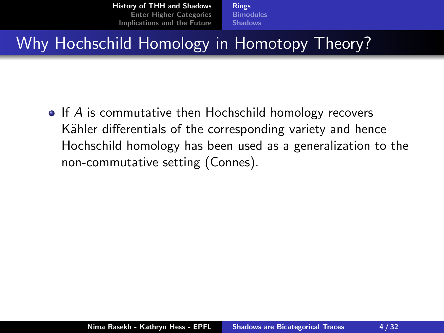[Rings](#page-4-0) **[Bimodules](#page-6-0) [Shadows](#page-10-0)** 

# <span id="page-3-0"></span>Why Hochschild Homology in Homotopy Theory?

 $\bullet$  If A is commutative then Hochschild homology recovers Kähler differentials of the corresponding variety and hence Hochschild homology has been used as a generalization to the non-commutative setting (Connes).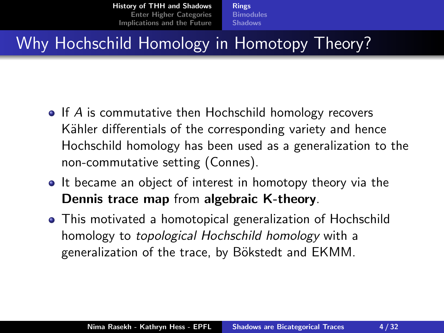[Rings](#page-3-0) **[Bimodules](#page-6-0) [Shadows](#page-10-0)** 

# <span id="page-4-0"></span>Why Hochschild Homology in Homotopy Theory?

- $\bullet$  If A is commutative then Hochschild homology recovers Kähler differentials of the corresponding variety and hence Hochschild homology has been used as a generalization to the non-commutative setting (Connes).
- It became an object of interest in homotopy theory via the Dennis trace map from algebraic K-theory.
- This motivated a homotopical generalization of Hochschild homology to topological Hochschild homology with a generalization of the trace, by Bökstedt and EKMM.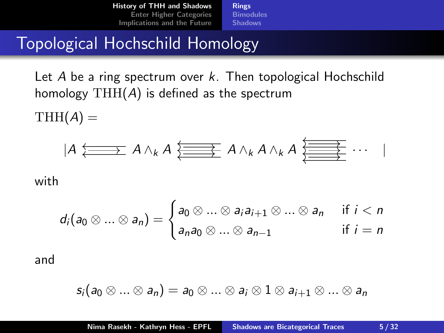**[Rings](#page-3-0) [Bimodules](#page-6-0)** [Shadows](#page-10-0)

#### Topological Hochschild Homology

Let A be a ring spectrum over k. Then topological Hochschild homology  $THH(A)$  is defined as the spectrum

 $THH(A) =$ 

$$
|A \xleftarrow{\longleftarrow} A \wedge_k A \xleftarrow{\longleftarrow} A \wedge_k A \wedge_k A \xleftarrow{\longleftarrow} \cdots
$$

with

$$
d_i(a_0 \otimes \ldots \otimes a_n) = \begin{cases} a_0 \otimes \ldots \otimes a_i a_{i+1} \otimes \ldots \otimes a_n & \text{if } i < n \\ a_n a_0 \otimes \ldots \otimes a_{n-1} & \text{if } i = n \end{cases}
$$

and

$$
s_i(a_0\otimes...\otimes a_n)=a_0\otimes...\otimes a_i\otimes 1\otimes a_{i+1}\otimes...\otimes a_n
$$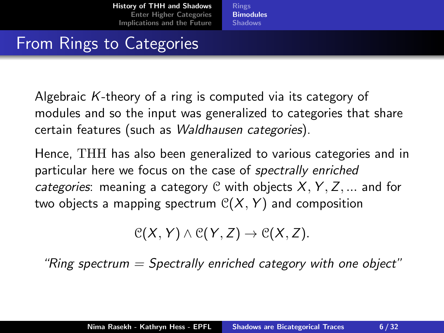[Rings](#page-3-0) **[Bimodules](#page-6-0) [Shadows](#page-10-0)** 

# <span id="page-6-0"></span>From Rings to Categories

Algebraic K-theory of a ring is computed via its category of modules and so the input was generalized to categories that share certain features (such as Waldhausen categories).

Hence, THH has also been generalized to various categories and in particular here we focus on the case of spectrally enriched categories: meaning a category C with objects  $X, Y, Z, ...$  and for two objects a mapping spectrum  $C(X, Y)$  and composition

 $\mathcal{C}(X, Y) \wedge \mathcal{C}(Y, Z) \rightarrow \mathcal{C}(X, Z).$ 

"Ring spectrum  $=$  Spectrally enriched category with one object"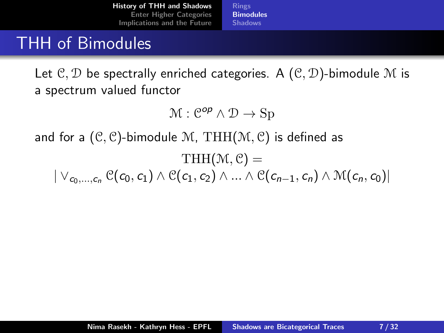[Rings](#page-3-0) **[Bimodules](#page-6-0)** [Shadows](#page-10-0)

### THH of Bimodules

Let  $\mathcal{C}, \mathcal{D}$  be spectrally enriched categories. A  $(\mathcal{C}, \mathcal{D})$ -bimodule M is a spectrum valued functor

$$
\mathcal{M}: \mathcal{C}^{op} \wedge \mathcal{D} \to \text{Sp}
$$

and for a  $(\mathcal{C}, \mathcal{C})$ -bimodule M, THH $(\mathcal{M}, \mathcal{C})$  is defined as

$$
\text{THH}(\mathcal{M}, \mathcal{C}) =
$$
  

$$
|\vee_{c_0, ..., c_n} \mathcal{C}(c_0, c_1) \wedge \mathcal{C}(c_1, c_2) \wedge ... \wedge \mathcal{C}(c_{n-1}, c_n) \wedge \mathcal{M}(c_n, c_0)|
$$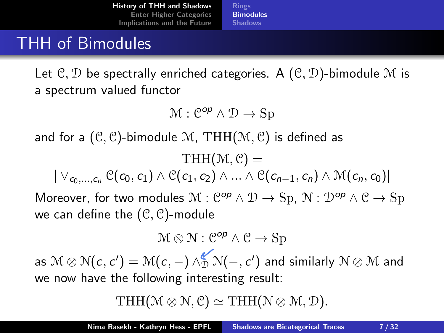[Rings](#page-3-0) **[Bimodules](#page-6-0) [Shadows](#page-10-0)** 

### THH of Bimodules

Let  $\mathcal{C}, \mathcal{D}$  be spectrally enriched categories. A  $(\mathcal{C}, \mathcal{D})$ -bimodule M is a spectrum valued functor

$$
\mathcal{M}: \mathcal{C}^{op} \wedge \mathcal{D} \to \text{Sp}
$$

and for a  $(\mathcal{C}, \mathcal{C})$ -bimodule M, THH $(\mathcal{M}, \mathcal{C})$  is defined as

 $THH(\mathcal{M}, \mathcal{C}) =$  $| \vee_{c_0,\dots,c_n} C(c_0,c_1) \wedge C(c_1,c_2) \wedge \dots \wedge C(c_{n-1},c_n) \wedge M(c_n,c_0)|$ Moreover, for two modules  $\mathcal{M}: \mathcal{C}^{op} \wedge \mathcal{D} \to \text{Sp}, \mathcal{N}: \mathcal{D}^{op} \wedge \mathcal{C} \to \text{Sp}$ we can define the  $(\mathcal{C}, \mathcal{C})$ -module

$$
\mathcal{M}\otimes\mathcal{N}:\mathcal{C}^{\textit{op}}\wedge\mathcal{C}\rightarrow\mathrm{Sp}
$$

as  $\mathcal{M}\otimes\mathcal{N}(\mathit{c},\mathit{c}')=\mathcal{M}(\mathit{c},\mathit{-})\wedge_{\mathcal{D}}^{\mathscr{C}}\mathcal{N}(\mathit{-},\mathit{c}')$  and similarly  $\mathcal{N}\otimes\mathcal{M}$  and we now have the following interesting result:

THH( $\mathcal{M} \otimes \mathcal{N}$ , C)  $\simeq$  THH( $\mathcal{N} \otimes \mathcal{M}$ , D).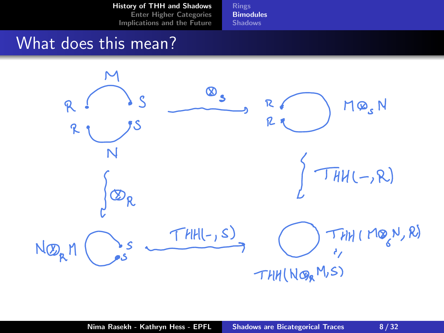[Rings](#page-3-0) **[Bimodules](#page-6-0) [Shadows](#page-10-0)** 

### What does this mean?

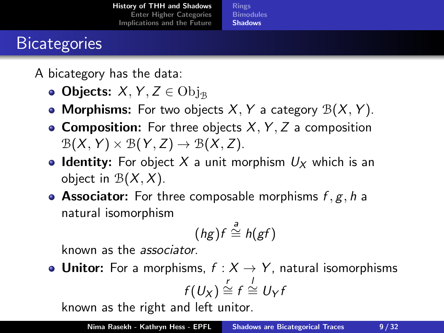[Rings](#page-3-0) **[Bimodules](#page-6-0) [Shadows](#page-10-0)** 

# <span id="page-10-0"></span>**Bicategories**

A bicategory has the data:

- Objects:  $X, Y, Z \in \mathrm{Obj}_{\mathbb{R}}$
- Morphisms: For two objects X, Y a category  $\mathcal{B}(X, Y)$ .
- **Composition:** For three objects  $X, Y, Z$  a composition  $\mathcal{B}(X, Y) \times \mathcal{B}(Y, Z) \rightarrow \mathcal{B}(X, Z).$
- **Identity:** For object X a unit morphism  $U_X$  which is an object in  $\mathcal{B}(X, X)$ .
- Associator: For three composable morphisms  $f, g, h$  a natural isomorphism

$$
(hg)f \stackrel{a}{\cong} h(gf)
$$

known as the associator.

• Unitor: For a morphisms,  $f : X \rightarrow Y$ , natural isomorphisms  $f(U_X) \stackrel{r}{\cong} f \stackrel{l}{\cong} U_Y f$ 

known as the right and left unitor.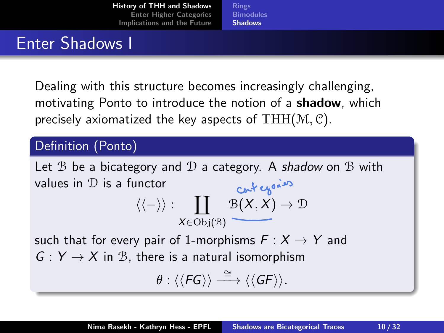[Rings](#page-3-0) **[Bimodules](#page-6-0)** [Shadows](#page-10-0)

### Enter Shadows I

Dealing with this structure becomes increasingly challenging, motivating Ponto to introduce the notion of a **shadow**, which precisely axiomatized the key aspects of  $THH(\mathcal{M}, \mathcal{C})$ .

#### Definition (Ponto)

Let  $\mathcal B$  be a bicategory and  $\mathcal D$  a category. A shadow on  $\mathcal B$  with values in D is a functor  $\langle \langle - \rangle \rangle : \quad \prod \quad \mathcal{B}(X,X) \to \mathcal{D}$  $X \in Obj(\mathcal{B})$ 

such that for every pair of 1-morphisms  $F: X \rightarrow Y$  and  $G: Y \rightarrow X$  in B, there is a natural isomorphism

$$
\theta:\langle\langle \mathit{FG} \rangle\rangle \stackrel{\cong}{\longrightarrow} \langle\langle \mathit{GF} \rangle\rangle.
$$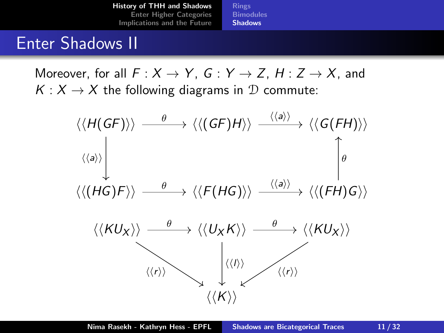**[Rings](#page-3-0) [Bimodules](#page-6-0)** [Shadows](#page-10-0)

#### Enter Shadows II

Moreover, for all  $F: X \to Y$ ,  $G: Y \to Z$ ,  $H: Z \to X$ , and  $K: X \rightarrow X$  the following diagrams in  $D$  commute:

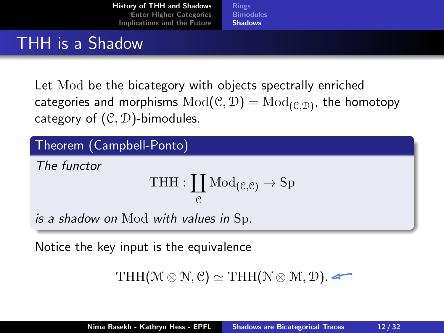[Rings](#page-3-0) **[Bimodules](#page-6-0) [Shadows](#page-10-0)** 

### THH is a Shadow

Let Mod be the bicategory with objects spectrally enriched categories and morphisms  ${\rm Mod}(\mathfrak C,\mathcal D)={\rm Mod}_{(\mathfrak C,\mathcal D)}$ , the homotopy category of  $(\mathcal{C}, \mathcal{D})$ -bimodules.

#### Theorem (Campbell-Ponto)

The functor

$$
\operatorname{THH}:\coprod_{\mathcal{C}}\operatorname{Mod}_{(\mathcal{C},\mathcal{C})}\to\operatorname{Sp}
$$

is a shadow on Mod with values in Sp.

Notice the key input is the equivalence

```
THH(\mathcal{M} \otimes \mathcal{N}, \mathcal{C}) \simeq THH(\mathcal{N} \otimes \mathcal{M}, \mathcal{D}).
```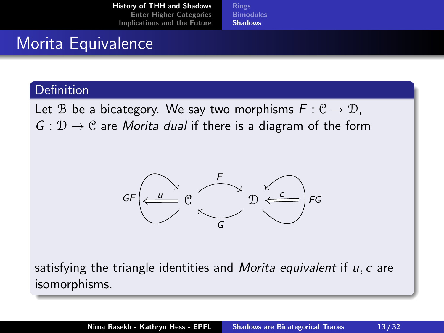[Rings](#page-3-0) **[Bimodules](#page-6-0)** [Shadows](#page-10-0)

## Morita Equivalence

#### Definition

Let B be a bicategory. We say two morphisms  $F: \mathcal{C} \to \mathcal{D}$ ,  $G: \mathcal{D} \to \mathcal{C}$  are *Morita dual* if there is a diagram of the form



satisfying the triangle identities and *Morita equivalent* if  $u, c$  are isomorphisms.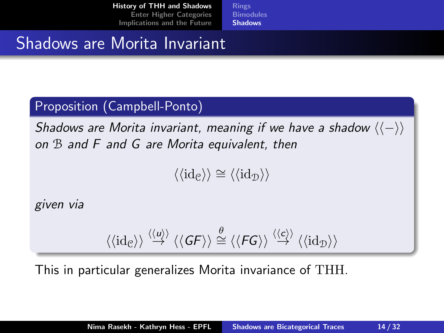[Rings](#page-3-0) [Bimodules](#page-6-0) [Shadows](#page-10-0)

### Shadows are Morita Invariant

#### Proposition (Campbell-Ponto)

Shadows are Morita invariant, meaning if we have a shadow  $\langle\langle -\rangle\rangle$ on B and F and G are Morita equivalent, then

 $\langle \langle \mathrm{id}_{\mathcal{C}} \rangle \rangle \cong \langle \langle \mathrm{id}_{\mathcal{D}} \rangle \rangle$ 

given via

$$
\langle\langle\mathrm{id}_{\mathcal{C}}\rangle\rangle\stackrel{\langle\langle u\rangle\rangle}{\rightarrow}\langle\langle\mathit{G}\mathit{F}\rangle\rangle\stackrel{\theta}{\cong}\langle\langle\mathit{F}\mathit{G}\rangle\rangle\stackrel{\langle\langle c\rangle\rangle}{\rightarrow}\langle\langle\mathrm{id}_{\mathcal{D}}\rangle\rangle
$$

This in particular generalizes Morita invariance of THH.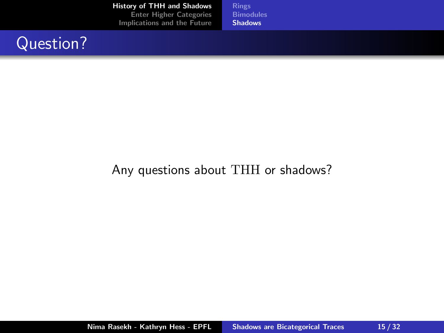[Rings](#page-3-0) **[Bimodules](#page-6-0) [Shadows](#page-10-0)** 

## Question?

#### Any questions about THH or shadows?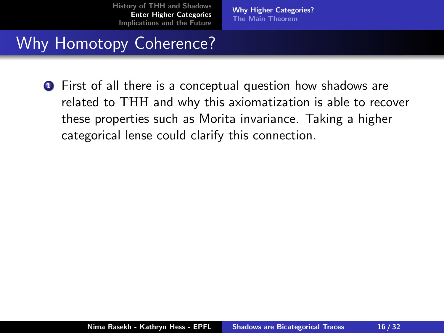[Why Higher Categories?](#page-19-0) [The Main Theorem](#page-22-0)

# <span id="page-17-0"></span>Why Homotopy Coherence?

**1** First of all there is a conceptual question how shadows are related to THH and why this axiomatization is able to recover these properties such as Morita invariance. Taking a higher categorical lense could clarify this connection.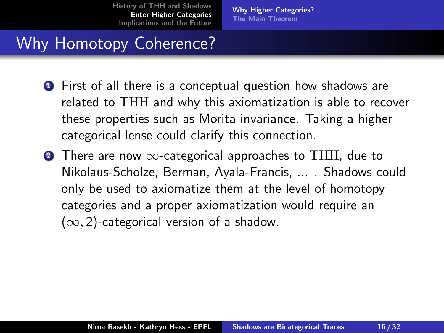[Why Higher Categories?](#page-19-0) [The Main Theorem](#page-22-0)

# Why Homotopy Coherence?

- **1** First of all there is a conceptual question how shadows are related to THH and why this axiomatization is able to recover these properties such as Morita invariance. Taking a higher categorical lense could clarify this connection.
- 2 There are now  $\infty$ -categorical approaches to THH, due to Nikolaus-Scholze, Berman, Ayala-Francis, ... . Shadows could only be used to axiomatize them at the level of homotopy categories and a proper axiomatization would require an  $(\infty, 2)$ -categorical version of a shadow.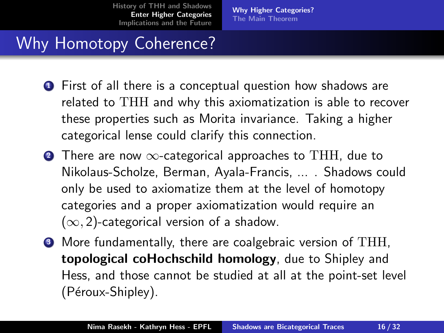[Why Higher Categories?](#page-17-0) [The Main Theorem](#page-22-0)

# <span id="page-19-0"></span>Why Homotopy Coherence?

- First of all there is a conceptual question how shadows are related to THH and why this axiomatization is able to recover these properties such as Morita invariance. Taking a higher categorical lense could clarify this connection.
- 2 There are now  $\infty$ -categorical approaches to THH, due to Nikolaus-Scholze, Berman, Ayala-Francis, ... . Shadows could only be used to axiomatize them at the level of homotopy categories and a proper axiomatization would require an  $(\infty, 2)$ -categorical version of a shadow.
- More fundamentally, there are coalgebraic version of THH, topological coHochschild homology, due to Shipley and Hess, and those cannot be studied at all at the point-set level (Péroux-Shipley).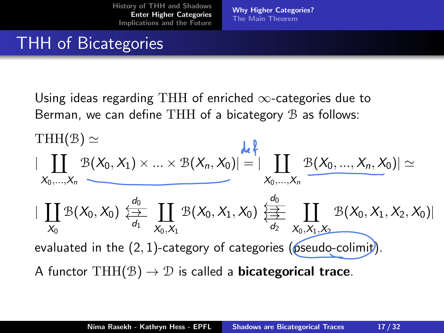[Why Higher Categories?](#page-17-0) [The Main Theorem](#page-22-0)

# **THH** of Bicategories

Using ideas regarding THH of enriched  $\infty$ -categories due to Berman, we can define THH of a bicategory  $\mathcal B$  as follows:

$$
|\coprod_{X_0,\ldots,X_n} \mathcal{B}(X_0,X_1) \times \ldots \times \mathcal{B}(X_n,X_0)| = |\coprod_{X_0,\ldots,X_n} \mathcal{B}(X_0,\ldots,X_n,X_0)| \simeq
$$
\n
$$
|\coprod_{X_0} \mathcal{B}(X_0,X_0) \overset{d_0}{\underset{d_1}{\rightleftharpoons}} \coprod_{X_0,X_1} \mathcal{B}(X_0,X_1,X_0) \overset{d_0}{\underset{d_2}{\rightleftharpoons}} \coprod_{X_0,X_1,X_2} \mathcal{B}(X_0,X_1,X_2,X_0)|
$$
\nevaluated in the (2, 1)-category of categories (pseudo-colimit).  
\nA functor THH( $\mathcal{B}$ )  $\rightarrow \mathcal{D}$  is called a **bicategorical trace**.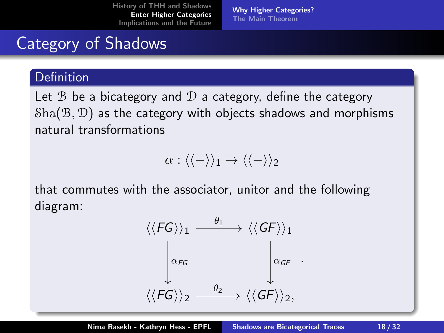[Why Higher Categories?](#page-17-0) [The Main Theorem](#page-22-0)

# Category of Shadows

#### **Definition**

Let  $\mathcal B$  be a bicategory and  $\mathcal D$  a category, define the category  $\text{Sha}(\mathcal{B}, \mathcal{D})$  as the category with objects shadows and morphisms natural transformations

 $\alpha$  :  $\langle\langle-\rangle\rangle_1 \rightarrow \langle\langle-\rangle\rangle_2$ 

that commutes with the associator, unitor and the following diagram:

$$
\langle\langle FG \rangle\rangle_1 \xrightarrow{\theta_1} \langle\langle GF \rangle\rangle_1
$$

$$
\downarrow \alpha_{FG} \qquad \qquad \downarrow \alpha_{GF}.
$$

$$
\langle\langle FG \rangle\rangle_2 \xrightarrow{\theta_2} \langle\langle GF \rangle\rangle_2,
$$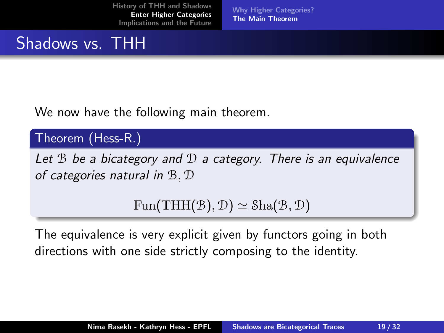[Why Higher Categories?](#page-17-0) [The Main Theorem](#page-22-0)

# <span id="page-22-0"></span>Shadows vs. THH

We now have the following main theorem.

#### Theorem (Hess-R.)

Let  $B$  be a bicategory and  $D$  a category. There is an equivalence of categories natural in B, D

 $Fun(THH(\mathcal{B}), \mathcal{D}) \simeq Sha(\mathcal{B}, \mathcal{D})$ 

The equivalence is very explicit given by functors going in both directions with one side strictly composing to the identity.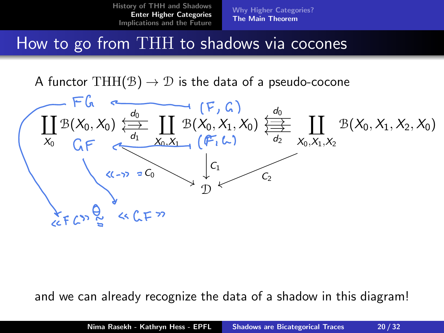[Why Higher Categories?](#page-17-0) [The Main Theorem](#page-22-0)

### How to go from THH to shadows via cocones

A functor THH( $\mathcal{B}$ )  $\rightarrow \mathcal{D}$  is the data of a pseudo-cocone



and we can already recognize the data of a shadow in this diagram!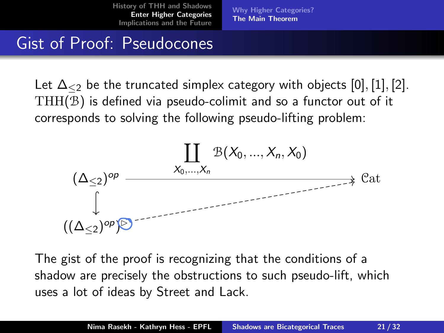[Why Higher Categories?](#page-17-0) [The Main Theorem](#page-22-0)

### Gist of Proof: Pseudocones

Let  $\Delta_{\leq 2}$  be the truncated simplex category with objects [0], [1], [2]. THH(B) is defined via pseudo-colimit and so a functor out of it corresponds to solving the following pseudo-lifting problem:



The gist of the proof is recognizing that the conditions of a shadow are precisely the obstructions to such pseudo-lift, which uses a lot of ideas by Street and Lack.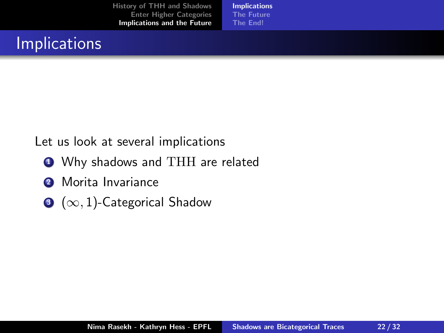[Implications](#page-25-0) [The Future](#page-32-0) [The End!](#page-35-0)

# <span id="page-25-0"></span>**Implications**

#### Let us look at several implications

- **1** Why shadows and THH are related
- <sup>2</sup> Morita Invariance
- $\bigcirc$  ( $\infty$ , 1)-Categorical Shadow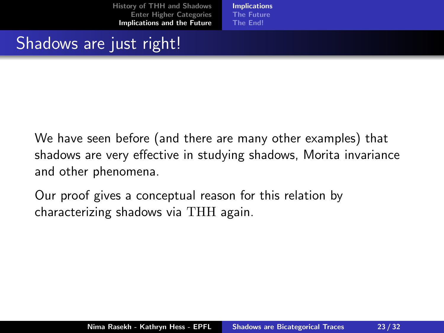[Implications](#page-25-0) [The Future](#page-32-0) [The End!](#page-35-0)

### Shadows are just right!

We have seen before (and there are many other examples) that shadows are very effective in studying shadows, Morita invariance and other phenomena.

Our proof gives a conceptual reason for this relation by characterizing shadows via THH again.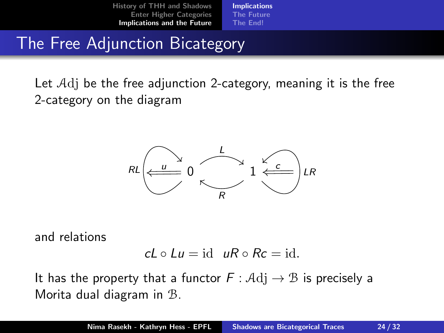[Implications](#page-25-0) [The Future](#page-32-0) [The End!](#page-35-0)

## The Free Adjunction Bicategory

Let Adj be the free adjunction 2-category, meaning it is the free 2-category on the diagram



and relations

$$
cL \circ Lu = id \quad uR \circ Rc = id.
$$

It has the property that a functor  $F : \mathcal{A} \mathrm{d} \mathrm{j} \to \mathcal{B}$  is precisely a Morita dual diagram in B.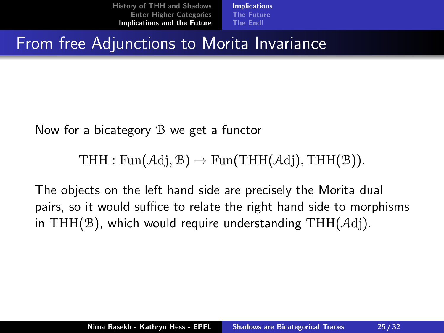[Implications](#page-25-0) [The Future](#page-32-0) [The End!](#page-35-0)

From free Adjunctions to Morita Invariance

Now for a bicategory B we get a functor

THH : Fun( $\mathcal{A}$ dj,  $\mathcal{B}$ )  $\rightarrow$  Fun(THH( $\mathcal{A}$ dj), THH( $\mathcal{B}$ )).

The objects on the left hand side are precisely the Morita dual pairs, so it would suffice to relate the right hand side to morphisms in THH( $\mathcal{B}$ ), which would require understanding THH( $\mathcal{A}$ dj).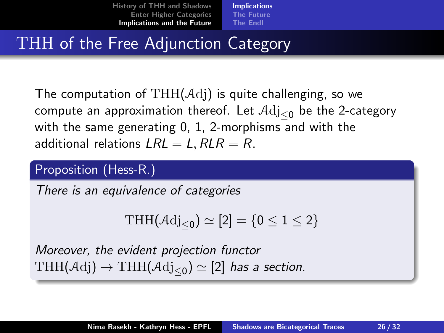[Implications](#page-25-0) [The Future](#page-32-0) [The End!](#page-35-0)

# THH of the Free Adjunction Category

The computation of  $THH(\mathcal{A}d)$  is quite challenging, so we compute an approximation thereof. Let  $\text{Adj}_{\leq 0}$  be the 2-category with the same generating 0, 1, 2-morphisms and with the additional relations  $LRL = L$ ,  $RLR = R$ .

#### Proposition (Hess-R.)

There is an equivalence of categories

$$
\mathrm{THH}(\mathcal{A}\mathrm{dj}_{\leq 0})\simeq [2]=\{0\leq 1\leq 2\}
$$

Moreover, the evident projection functor  $\mathrm{THH}(\mathcal{A}\mathrm{dj})\rightarrow\mathrm{THH}(\mathcal{A}\mathrm{dj}_{\leq 0})\simeq [2]$  has a section.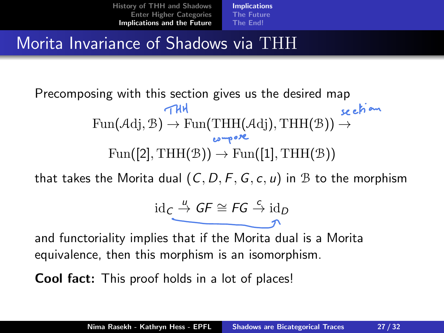[Implications](#page-25-0) [The Future](#page-32-0) [The End!](#page-35-0)

### Morita Invariance of Shadows via THH

#### Precomposing with this section gives us the desired map  $\tau$ HH section  $Fun(\mathcal{A}dj, \mathcal{B}) \to Fun(THH(\mathcal{A}dj), THH(\mathcal{B})) \to$ compore  $Fun([2], THH(\mathcal{B})) \rightarrow Fun([1], THH(\mathcal{B}))$

that takes the Morita dual  $(C, D, F, G, c, u)$  in B to the morphism

$$
\mathrm{id}_{\mathcal{C}} \stackrel{u}{\longrightarrow} GF \cong FG \stackrel{c}{\rightarrow} \mathrm{id}_{D}
$$

and functoriality implies that if the Morita dual is a Morita equivalence, then this morphism is an isomorphism.

Cool fact: This proof holds in a lot of places!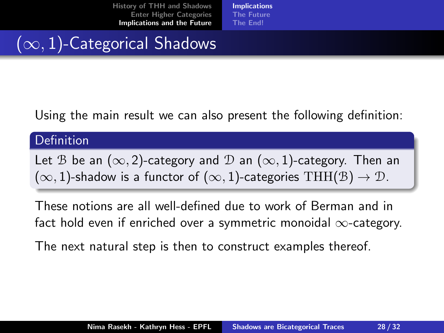[Implications](#page-25-0) [The Future](#page-32-0) [The End!](#page-35-0)

# $(\infty, 1)$ -Categorical Shadows

Using the main result we can also present the following definition:

#### **Definition**

Let B be an ( $\infty$ , 2)-category and D an ( $\infty$ , 1)-category. Then an  $(\infty, 1)$ -shadow is a functor of  $(\infty, 1)$ -categories THH(B)  $\rightarrow \mathcal{D}$ .

These notions are all well-defined due to work of Berman and in fact hold even if enriched over a symmetric monoidal  $\infty$ -category.

The next natural step is then to construct examples thereof.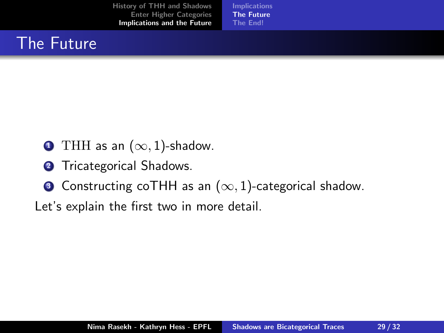[Implications](#page-25-0) [The Future](#page-32-0) [The End!](#page-35-0)

# <span id="page-32-0"></span>The Future

- **1** THH as an  $(\infty, 1)$ -shadow.
- **2** Tricategorical Shadows.
- **3** Constructing coTHH as an  $(\infty, 1)$ -categorical shadow.

Let's explain the first two in more detail.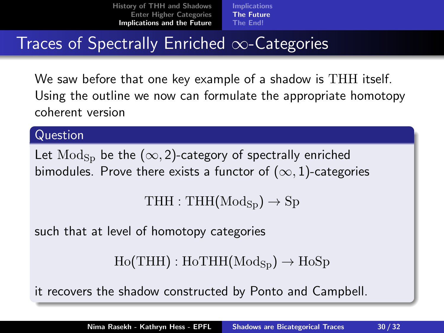[Implications](#page-25-0) [The Future](#page-32-0) [The End!](#page-35-0)

# Traces of Spectrally Enriched ∞-Categories

We saw before that one key example of a shadow is THH itself. Using the outline we now can formulate the appropriate homotopy coherent version

#### Question

Let  $\text{Mod}_{\text{Sp}}$  be the  $(\infty, 2)$ -category of spectrally enriched bimodules. Prove there exists a functor of  $(\infty, 1)$ -categories

 $THH : THH(Mod<sub>Sn</sub>) \rightarrow Sp$ 

such that at level of homotopy categories

```
Ho(THH) : HoTHH(Mod<sub>Sn</sub>) \rightarrow HoSp
```
it recovers the shadow constructed by Ponto and Campbell.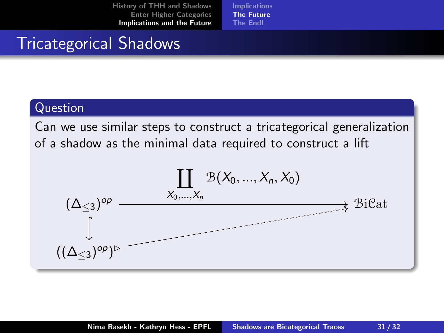[Implications](#page-25-0) [The Future](#page-32-0) [The End!](#page-35-0)

### Tricategorical Shadows

#### Question

Can we use similar steps to construct a tricategorical generalization of a shadow as the minimal data required to construct a lift